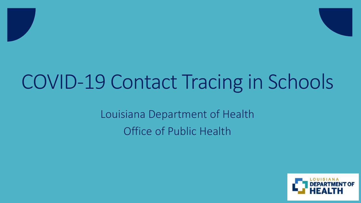# COVID-19 Contact Tracing in Schools

Louisiana Department of Health Office of Public Health

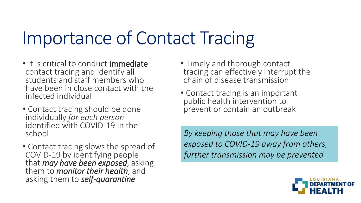# Importance of Contact Tracing

- It is critical to conduct immediate contact tracing and identify all students and staff members who have been in close contact with the infected individual
- Contact tracing should be done individually *for each person* identified with COVID-19 in the school
- Contact tracing slows the spread of COVID-19 by identifying people that *may have been exposed*, asking them to *monitor their health*, and asking them to *self-quarantine*
- Timely and thorough contact tracing can effectively interrupt the chain of disease transmission
- Contact tracing is an important public health intervention to prevent or contain an outbreak

*By keeping those that may have been exposed to COVID-19 away from others, further transmission may be prevented*

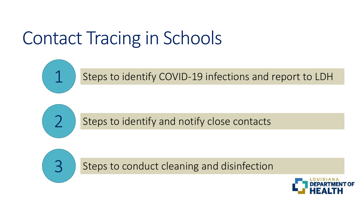# Contact Tracing in Schools



Steps to identify COVID-19 infections and report to LDH



Steps to identify and notify close contacts



Steps to conduct cleaning and disinfection

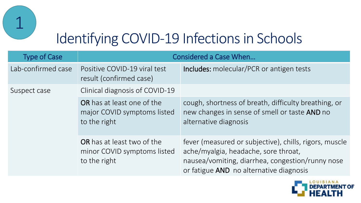

#### Identifying COVID-19 Infections in Schools

| <b>Type of Case</b> | <b>Considered a Case When</b>                                                    |                                                                                                                                                                                               |
|---------------------|----------------------------------------------------------------------------------|-----------------------------------------------------------------------------------------------------------------------------------------------------------------------------------------------|
| Lab-confirmed case  | Positive COVID-19 viral test<br>result (confirmed case)                          | <b>Includes:</b> molecular/PCR or antigen tests                                                                                                                                               |
| Suspect case        | Clinical diagnosis of COVID-19                                                   |                                                                                                                                                                                               |
|                     | <b>OR</b> has at least one of the<br>major COVID symptoms listed<br>to the right | cough, shortness of breath, difficulty breathing, or<br>new changes in sense of smell or taste AND no<br>alternative diagnosis                                                                |
|                     | <b>OR</b> has at least two of the<br>minor COVID symptoms listed<br>to the right | fever (measured or subjective), chills, rigors, muscle<br>ache/myalgia, headache, sore throat,<br>nausea/vomiting, diarrhea, congestion/runny nose<br>or fatigue AND no alternative diagnosis |

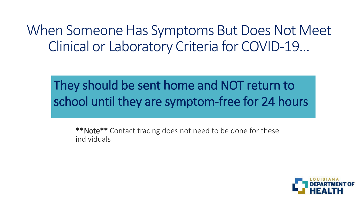#### When Someone Has Symptoms But Does Not Meet Clinical or Laboratory Criteria for COVID-19…

#### They should be sent home and NOT return to school until they are symptom-free for 24 hours

\*\*Note\*\* Contact tracing does not need to be done for these individuals

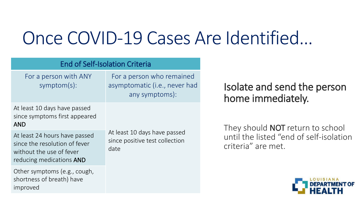## Once COVID-19 Cases Are Identified…

| <b>End of Self-Isolation Criteria</b>                                                                                  |                                                                              |  |  |
|------------------------------------------------------------------------------------------------------------------------|------------------------------------------------------------------------------|--|--|
| For a person with ANY<br>symptom(s):                                                                                   | For a person who remained<br>asymptomatic (i.e., never had<br>any symptoms): |  |  |
| At least 10 days have passed<br>since symptoms first appeared<br><b>AND</b>                                            | At least 10 days have passed<br>since positive test collection<br>date       |  |  |
| At least 24 hours have passed<br>since the resolution of fever<br>without the use of fever<br>reducing medications AND |                                                                              |  |  |
| Other symptoms (e.g., cough,<br>shortness of breath) have<br>improved                                                  |                                                                              |  |  |

#### Isolate and send the person home immediately.

They should **NOT** return to school until the listed "end of self-isolation criteria" are met.

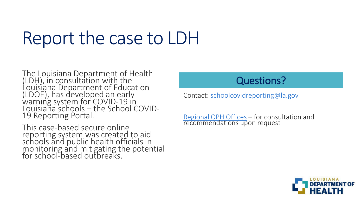## Report the case to LDH

The Louisiana Department of Health (LDH), in consultation with the Louisiana Department of Education (LDOE), has developed an early warning system for COVID-19 in Louisiana schools – the School COVID-19 Reporting Portal.

This case-based secure online reporting system was created to aid schools and public health officials in monitoring and mitigating the potential for school-based outbreaks.

#### Questions?

Contact: [schoolcovidreporting@la.gov](mailto:schoolcovidreporting@la.gov)

[Regional OPH Offices](https://ldh.la.gov/index.cfm/directory/category/13) – for consultation and recommendations upon request

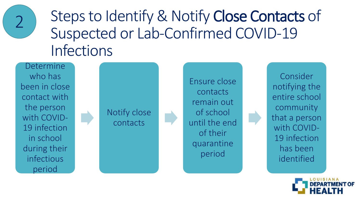

Steps to Identify & Notify Close Contacts of Suspected or Lab-Confirmed COVID-19 Infections

Determine who has been in close contact with the person with COVID-19 infection in school during their infectious period



Ensure close contacts remain out of school until the end of their quarantine period

Consider notifying the entire school community that a person with COVID-19 infection has been identified

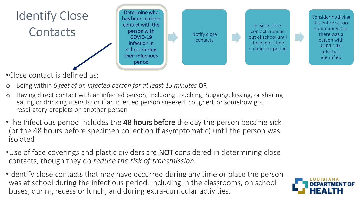

•Close contact is defined as:

- o Being within *6 feet of an infected person for at least 15 minutes* OR
- o Having direct contact with an infected person, including touching, hugging, kissing, or sharing eating or drinking utensils; or if an infected person sneezed, coughed, or somehow got respiratory droplets on another person
- •The Infectious period includes the 48 hours before the day the person became sick (or the 48 hours before specimen collection if asymptomatic) until the person was isolated
- Use of face coverings and plastic dividers are **NOT** considered in determining close contacts, though they do *reduce the risk of transmission.*
- •Identify close contacts that may have occurred during any time or place the person was at school during the infectious period, including in the classrooms, on school buses, during recess or lunch, and during extra-curricular activities.

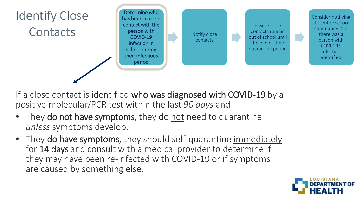

- If a close contact is identified who was diagnosed with COVID-19 by a positive molecular/PCR test within the last *90 days* and
- They do not have symptoms, they do not need to quarantine *unless* symptoms develop.
- They do have symptoms, they should self-quarantine immediately for 14 days and consult with a medical provider to determine if they may have been re-infected with COVID-19 or if symptoms are caused by something else.

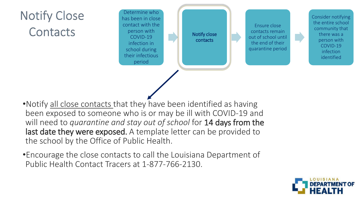#### **Notify Close** Contacts

Determine who has been in close contact with the person with COVID-19 infection in school during their infectious period

Notify close contacts

Ensure close contacts remain out of school until the end of their quarantine period Consider notifying the entire school community that there was a person with COVID-19 infection identified

- •Notify all close contacts that they have been identified as having been exposed to someone who is or may be ill with COVID-19 and will need to *quarantine and stay out of school* for 14 days from the last date they were exposed. A template letter can be provided to the school by the Office of Public Health.
- •Encourage the close contacts to call the Louisiana Department of Public Health Contact Tracers at 1-877-766-2130.

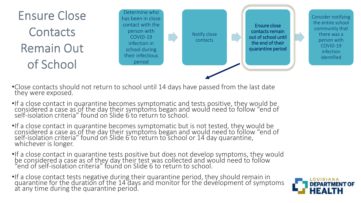

Determine who has been in close contact with the person with COVID-19 infection in school during their infectious period

Notify close contacts

Ensure close contacts remain out of school until the end of their quarantine period Consider notifying the entire school community that there was a person with COVID-19 infection identified

- •Close contacts should not return to school until 14 days have passed from the last date they were exposed.
- •If a close contact in quarantine becomes symptomatic and tests positive, they would be considered a case as of the day their symptoms began and would need to follow "end of self-isolation criteria" found on Slide 6 to return to school.
- •If a close contact in quarantine becomes symptomatic but is not tested, they would be considered a case as of the day their symptoms began and would need to follow "end of self-isolation criteria" found on Slide 6 to return to school or 14 day quarantine, whichever is longer.
- •If a close contact in quarantine tests positive but does not develop symptoms, they would be considered a case as of they day their test was collected and would need to follow "end of self-isolation criteria" found on Slide 6 to return to school.
- •If a close contact tests negative during their quarantine period, they should remain in quarantine for the duration of the 14 days and monitor for the development of symptoms at any time during the quarantine period.

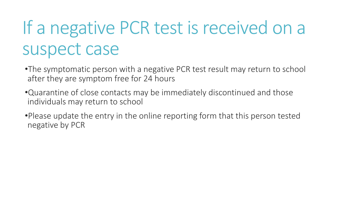# If a negative PCR test is received on a suspect case

- •The symptomatic person with a negative PCR test result may return to school after they are symptom free for 24 hours
- •Quarantine of close contacts may be immediately discontinued and those individuals may return to school
- •Please update the entry in the online reporting form that this person tested negative by PCR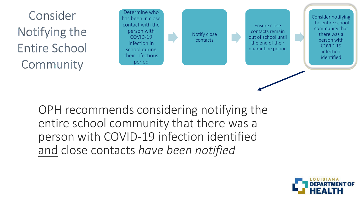Consider Notifying the **Entire School** Community

Determine who has been in close contact with the person with COVID-19 infection in school during their infectious period

Notify close contacts

Ensure close contacts remain out of school until the end of their quarantine period Consider notifying the entire school community that there was a person with COVID-19 infection identified

OPH recommends considering notifying the entire school community that there was a person with COVID-19 infection identified and close contacts *have been notified* 

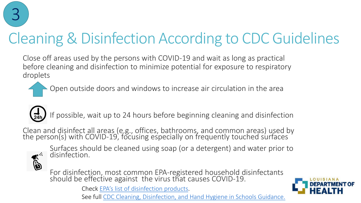

#### Cleaning & Disinfection According to CDC Guidelines

Close off areas used by the persons with COVID-19 and wait as long as practical before cleaning and disinfection to minimize potential for exposure to respiratory droplets

Open outside doors and windows to increase air circulation in the area



If possible, wait up to 24 hours before beginning cleaning and disinfection

Clean and disinfect all areas (e.g., offices, bathrooms, and common areas) used by the person(s) with COVID-19, focusing especially on frequently touched surfaces



Surfaces should be cleaned using soap (or a detergent) and water prior to disinfection.

For disinfection, most common EPA-registered household disinfectants should be effective against the virus that causes COVID-19.

Check [EPA's list of disinfection products](https://www.epa.gov/pesticide-registration/list-n-disinfectants-use-against-sars-cov-2-covid-19).



See full [CDC Cleaning, Disinfection, and Hand Hygiene in Schools Guidance.](https://www.cdc.gov/coronavirus/2019-ncov/community/schools-childcare/clean-disinfect-hygiene.html)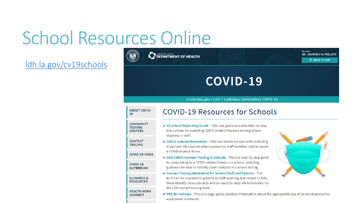# School Resources Online

#### [ldh.la.gov/cv19schools](https://ldh.la.gov/index.cfm/page/4029)

#### Secretary **LET LOUISIANA**<br>LET DEPARTMENT OF HEALTH **DR. COURTNEY N. PHILLIPS <BACK TO LDH** COVID-19 Louisiana.gov > LDH > Louisiana Coronavirus COVID-19 **ABOUT COVID-COVID-19 Resources for Schools** 19 **COMMUNITY E. LA School Reporting Guide** - This user guide provides step-by-step **TESTING** instructions for reporting COVID-related illnesses among school **CENTERS** students or staff. **CONTACT** • COVID Schools Worksheet - This tool assists schools with collecting **TRACING** important information when a parent or staff member calls to report a COVID-related illness. **COVID-19 NEWS ELDH COVID Contact Tracing in Schools** - This is a step-by-step guide for responding to a COVID-related illness in a school, including COVID-19 guidance for how to identify close contacts in a school setting. **OUTBREAKS** ■ Contact Tracing Worksheet for School Staff and Parents - This form can be provided to parents or staff awaiting test results to help **GUIDANCE & RESOURCES** them identify close contacts and be ready to relay the information to the LDH contact tracing team. **HEALTH WORK** PPE for Schools - This one-page guide provides information about the appropriate use of personal protective **CONNECT** equipment in schools.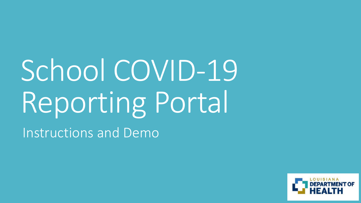# School COVID-19 Reporting Portal

Instructions and Demo

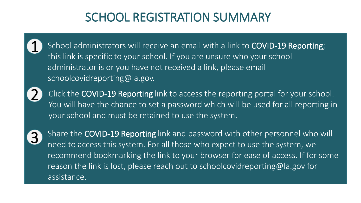#### SCHOOL REGISTRATION SUMMARY

School administrators will receive an email with a link to COVID-19 Reporting; this link is specific to your school. If you are unsure who your school administrator is or you have not received a link, please email schoolcovidreporting@la.gov.



1

Click the COVID-19 Reporting link to access the reporting portal for your school. You will have the chance to set a password which will be used for all reporting in your school and must be retained to use the system.



Share the COVID-19 Reporting link and password with other personnel who will need to access this system. For all those who expect to use the system, we recommend bookmarking the link to your browser for ease of access. If for some reason the link is lost, please reach out to schoolcovidreporting@la.gov for assistance.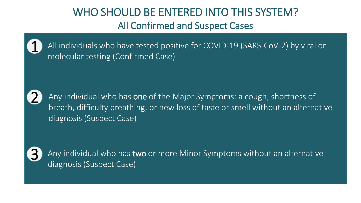#### WHO SHOULD BE ENTERED INTO THIS SYSTEM? All Confirmed and Suspect Cases



All individuals who have tested positive for COVID-19 (SARS-CoV-2) by viral or molecular testing (Confirmed Case)



Any individual who has one of the Major Symptoms: a cough, shortness of breath, difficulty breathing, or new loss of taste or smell without an alternative diagnosis (Suspect Case)



Any individual who has two or more Minor Symptoms without an alternative diagnosis (Suspect Case)